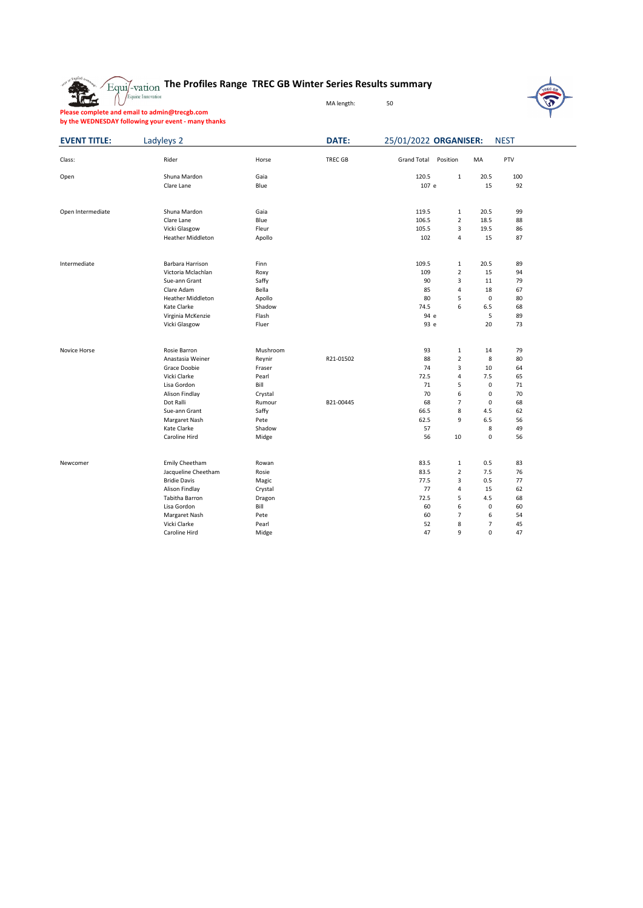

## **The Profiles Range TREC GB Winter Series Results summary**

MA length: 50

**Please complete and email to admin@trecgb.com by the WEDNESDAY following your event - many thanks**

| <b>EVENT TITLE:</b><br>Class: | Ladyleys 2               |          | DATE:     | 25/01/2022 ORGANISER: |                |                | <b>NEST</b> |  |
|-------------------------------|--------------------------|----------|-----------|-----------------------|----------------|----------------|-------------|--|
|                               | Rider                    | Horse    | TREC GB   | <b>Grand Total</b>    | Position       | МA             | PTV         |  |
| Open                          | Shuna Mardon             | Gaia     |           | 120.5                 | $\mathbf 1$    | 20.5           | 100         |  |
|                               | Clare Lane               | Blue     |           | 107 e                 |                | 15             | 92          |  |
| Open Intermediate             | Shuna Mardon             | Gaia     |           | 119.5                 | 1              | 20.5           | 99          |  |
|                               | Clare Lane               | Blue     |           | 106.5                 | $\overline{2}$ | 18.5           | 88          |  |
|                               | Vicki Glasgow            | Fleur    |           | 105.5                 | 3              | 19.5           | 86          |  |
|                               | <b>Heather Middleton</b> | Apollo   |           | 102                   | 4              | 15             | 87          |  |
| Intermediate                  | Barbara Harrison         | Finn     |           | 109.5                 | 1              | 20.5           | 89          |  |
|                               | Victoria Mclachlan       | Roxy     |           | 109                   | $\overline{2}$ | 15             | 94          |  |
|                               | Sue-ann Grant            | Saffy    |           | 90                    | 3              | 11             | 79          |  |
|                               | Clare Adam               | Bella    |           | 85                    | $\overline{4}$ | 18             | 67          |  |
|                               | <b>Heather Middleton</b> | Apollo   |           | 80                    | 5              | $\mathsf 0$    | 80          |  |
|                               | Kate Clarke              | Shadow   |           | 74.5                  | 6              | 6.5            | 68          |  |
|                               | Virginia McKenzie        | Flash    |           | 94 e                  |                | 5              | 89          |  |
|                               | Vicki Glasgow            | Fluer    |           | 93 e                  |                | 20             | 73          |  |
| Novice Horse                  | Rosie Barron             | Mushroom |           | 93                    | 1              | 14             | 79          |  |
|                               | Anastasia Weiner         | Reynir   | R21-01502 | 88                    | $\overline{2}$ | 8              | 80          |  |
|                               | Grace Doobie             | Fraser   |           | 74                    | 3              | 10             | 64          |  |
|                               | Vicki Clarke             | Pearl    |           | 72.5                  | 4              | 7.5            | 65          |  |
|                               | Lisa Gordon              | Bill     |           | 71                    | 5              | $\mathsf 0$    | 71          |  |
|                               | Alison Findlay           | Crystal  |           | 70                    | 6              | $\mathsf 0$    | 70          |  |
|                               | Dot Ralli                | Rumour   | B21-00445 | 68                    | $\overline{7}$ | $\mathsf 0$    | 68          |  |
|                               | Sue-ann Grant            | Saffy    |           | 66.5                  | 8              | 4.5            | 62          |  |
|                               | Margaret Nash            | Pete     |           | 62.5                  | 9              | 6.5            | 56          |  |
|                               | Kate Clarke              | Shadow   |           | 57                    |                | 8              | 49          |  |
|                               | Caroline Hird            | Midge    |           | 56                    | 10             | $\mathsf 0$    | 56          |  |
| Newcomer                      | Emily Cheetham           | Rowan    |           | 83.5                  | $\mathbf 1$    | 0.5            | 83          |  |
|                               | Jacqueline Cheetham      | Rosie    |           | 83.5                  | $\overline{2}$ | 7.5            | 76          |  |
|                               | <b>Bridie Davis</b>      | Magic    |           | 77.5                  | 3              | 0.5            | 77          |  |
|                               | Alison Findlay           | Crystal  |           | 77                    | $\overline{4}$ | 15             | 62          |  |
|                               | Tabitha Barron           | Dragon   |           | 72.5                  | 5              | 4.5            | 68          |  |
|                               | Lisa Gordon              | Bill     |           | 60                    | 6              | $\mathsf 0$    | 60          |  |
|                               | Margaret Nash            | Pete     |           | 60                    | $\overline{7}$ | 6              | 54          |  |
|                               | Vicki Clarke             | Pearl    |           | 52                    | 8              | $\overline{7}$ | 45          |  |
|                               | Caroline Hird            | Midge    |           | 47                    | 9              | $\mathbf 0$    | 47          |  |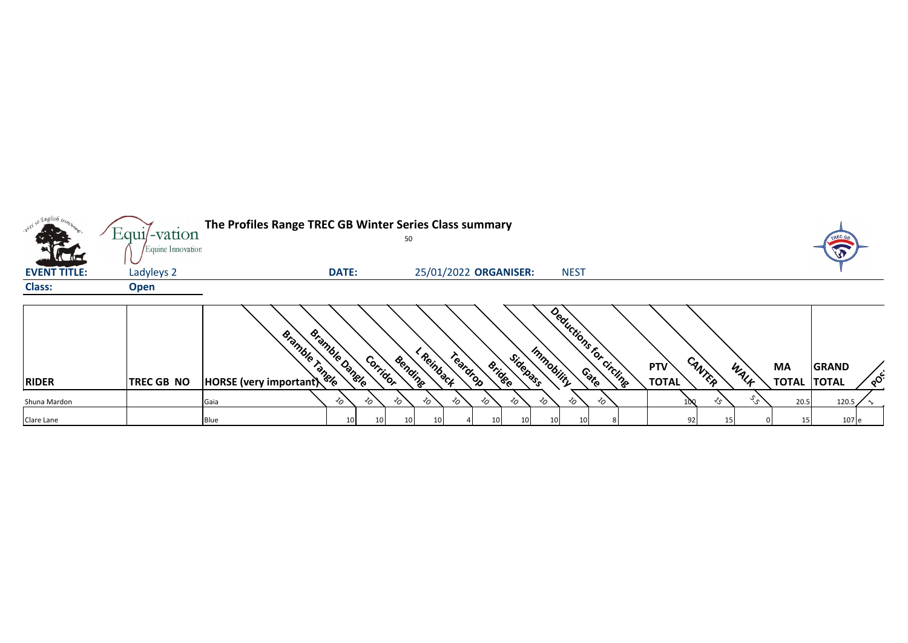| so English iron     |                                     | The Profiles Range TREC GB Winter Series Class summary |                            |         |                      |                           |              |                         |                            |                |                           |                                          |
|---------------------|-------------------------------------|--------------------------------------------------------|----------------------------|---------|----------------------|---------------------------|--------------|-------------------------|----------------------------|----------------|---------------------------|------------------------------------------|
| <b>KLAIK</b>        | $Equi$ -vation<br>Equine Innovation |                                                        |                            | 50      |                      |                           |              |                         |                            |                |                           | <b>TREC to</b><br>LO                     |
| <b>EVENT TITLE:</b> | Ladyleys 2                          |                                                        | <b>DATE:</b>               |         |                      | 25/01/2022 ORGANISER:     | <b>NEST</b>  |                         |                            |                |                           |                                          |
| <b>Class:</b>       | <b>Open</b>                         |                                                        |                            |         |                      |                           |              |                         |                            |                |                           |                                          |
| <b>RIDER</b>        | <b>TREC GB NO</b>                   | Bramble Tangle<br>HORSE (very important)               | Bramble Dangle<br>Corridor | Bendine | Reinback<br>Teardrop | Sidepass<br><b>Bridge</b> | Immobility   | Deductions for circline | <b>PTV</b><br><b>TOTAL</b> | CANTER<br>WALK | <b>MA</b><br><b>TOTAL</b> | <b>GRAND</b><br>$\delta$<br><b>TOTAL</b> |
| Shuna Mardon        |                                     | Gaia                                                   | 的<br>$\sim$                | $\sim$  | $\sim$<br>的          | $\sim$<br>৴৹              | ৴০<br>$\sim$ | ℅                       |                            | سي`<br>≺ົ      | 20.5                      | 120.5                                    |
| Clare Lane          |                                     | Blue                                                   | 10<br>10                   | 10      | 10                   | 10 <sub>1</sub><br>10     | 10<br>10     |                         | 92                         | 15             | 15                        | 107 e                                    |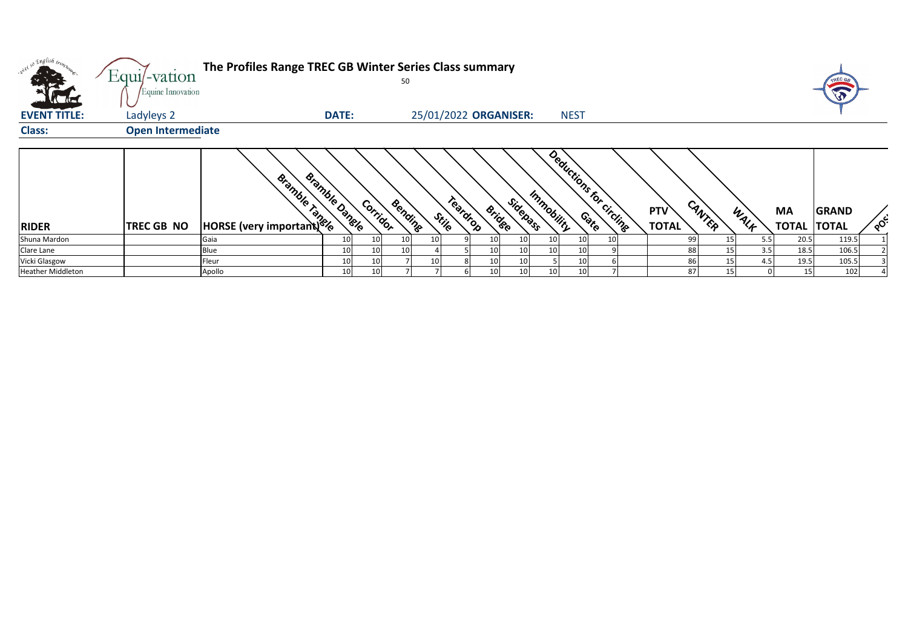| . English <sub>tron</sub> |                          | The Profiles Range TREC GB Winter Series Class summary<br>$Equi$ -vation<br>50 |                       |                 |         |       |          |               |                       |            |                 |                         |  |                                      |      |                           |                              |                       |
|---------------------------|--------------------------|--------------------------------------------------------------------------------|-----------------------|-----------------|---------|-------|----------|---------------|-----------------------|------------|-----------------|-------------------------|--|--------------------------------------|------|---------------------------|------------------------------|-----------------------|
|                           | Equine Innovation        |                                                                                |                       |                 |         |       |          |               |                       |            |                 |                         |  |                                      |      |                           |                              |                       |
| <b>EVENT TITLE:</b>       | Ladyleys 2               |                                                                                | <b>DATE:</b>          |                 |         |       |          |               | 25/01/2022 ORGANISER: |            | <b>NEST</b>     |                         |  |                                      |      |                           |                              |                       |
| <b>Class:</b>             | <b>Open Intermediate</b> |                                                                                |                       |                 |         |       |          |               |                       |            |                 |                         |  |                                      |      |                           |                              |                       |
| <b>RIDER</b>              | <b>TREC GB NO</b>        | Bismula Bismule                                                                | <b>Bramble Dangle</b> | Corridor        | Bending | Stile | Teardrop | <b>Bridge</b> | Sidepass              | Immobility |                 | Deductions for circling |  | CANTER<br><b>PTV</b><br><b>TOTAL</b> | WALK | <b>MA</b><br><b>TOTAL</b> | <b>GRAND</b><br><b>TOTAL</b> | $\circ^{\mathcal{S}}$ |
| Shuna Mardon              |                          | Gaia                                                                           | 10 <sup>1</sup>       | 10 <sup>1</sup> | 10      |       |          | 10            | 10                    | 10         | 10              | 10                      |  | 99                                   | 15   | 5.5                       | 20.5<br>119.5                |                       |
| Clare Lane                |                          | <b>Blue</b>                                                                    | 10 <sup>1</sup>       | 10 <sup>1</sup> | 10      |       |          | 10            | 10                    |            | 10 <sub>1</sub> |                         |  | 88                                   | 15   | 3.5                       | 106.5<br>18.5                |                       |
| Vicki Glasgow             |                          | Fleur                                                                          | 10                    | 10              |         |       |          | 10            | 10                    |            | 10              |                         |  | 86                                   | 15   | 4.5                       | 19.5<br>105.5                |                       |
| <b>Heather Middleton</b>  |                          | Apollo                                                                         | 10 <sup>1</sup>       | 10 <sup>1</sup> |         |       |          | 10            | 10                    |            | 10              |                         |  | 87                                   | 15   |                           | 15<br>102                    |                       |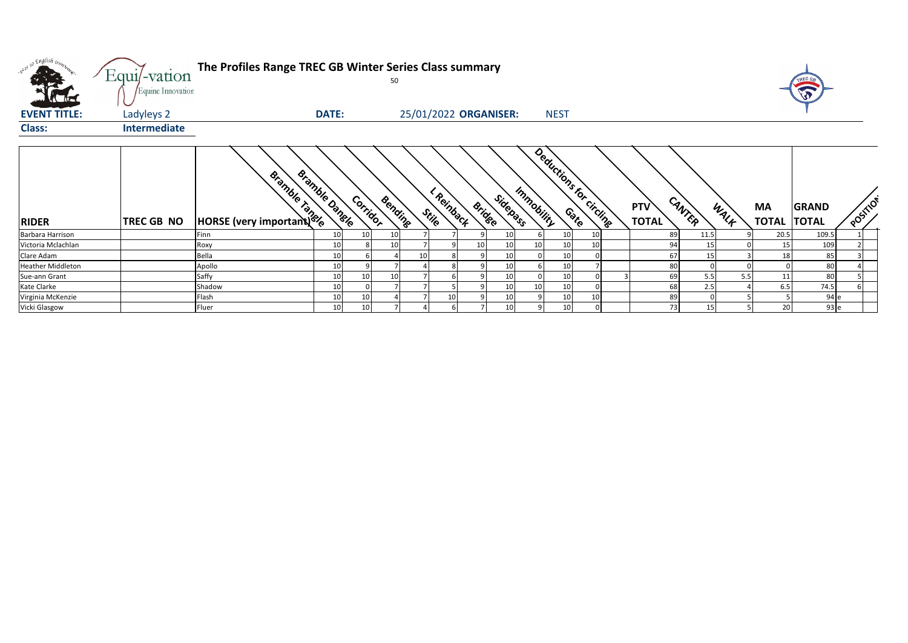| , english iron.<br>$\sim$ $\sim$<br><b>Alle</b> | Equi/-vation<br>Equine Innovation | The Profiles Range TREC GB Winter Series Class summary |                |          | 50              |                       |               |                 |                                       |             |    |                            |        |      |                           | TREC G                       |             |
|-------------------------------------------------|-----------------------------------|--------------------------------------------------------|----------------|----------|-----------------|-----------------------|---------------|-----------------|---------------------------------------|-------------|----|----------------------------|--------|------|---------------------------|------------------------------|-------------|
| <b>EVENT TITLE:</b>                             | Ladyleys 2                        |                                                        | <b>DATE:</b>   |          |                 | 25/01/2022 ORGANISER: |               |                 |                                       | <b>NEST</b> |    |                            |        |      |                           |                              |             |
| <b>Class:</b>                                   | Intermediate                      |                                                        |                |          |                 |                       |               |                 |                                       |             |    |                            |        |      |                           |                              |             |
| <b>RIDER</b>                                    | TREC GB NO                        | Bramble Manufacture                                    | eramble Dangle | Corridor | Bending         | Reinback<br>Stile     | <b>Bridge</b> | Sidepass        | Deductions for circuits<br>Immobility |             |    | <b>PTV</b><br><b>TOTAL</b> | CANTER | WALK | <b>MA</b><br><b>TOTAL</b> | <b>GRAND</b><br><b>TOTAL</b> | <b>OOST</b> |
| Barbara Harrison                                |                                   | Finn                                                   | 10             |          | 10              |                       |               | 10              |                                       | 10          |    |                            | 89     | 11.5 | 20.5                      | 109.5                        |             |
| Victoria Mclachlan                              |                                   | Roxy                                                   | 10             |          | 10 <sup>1</sup> |                       | 10            | 10 <sup>1</sup> | 10                                    | 10          | 10 |                            | 94     | 15   | 15                        | 109                          |             |
| Clare Adam                                      |                                   | Bella                                                  | 10             |          |                 |                       |               | 10              |                                       | 10          |    |                            | 67     | 15   | 18                        | 85                           |             |
| <b>Heather Middleton</b>                        |                                   | Apollo                                                 | 10             |          |                 |                       |               | 10              |                                       | 10          |    |                            | 80     |      |                           | 80                           |             |
| Sue-ann Grant                                   |                                   | Saffy                                                  | 10             |          | 10              |                       |               | 10              |                                       | 10          |    |                            | 69     | 5.5  | 5.5<br>11                 | 80                           |             |
| Kate Clarke                                     |                                   | Shadow                                                 | 10             |          |                 |                       |               | 10              | 10                                    | 10          |    |                            | 68     | 2.5  | 6.5                       | 74.5                         |             |
| Virginia McKenzie                               |                                   | Flash                                                  | 10             |          |                 | 10                    |               | 10              |                                       | 10          |    |                            | 89     |      |                           | 94 e                         |             |
| Vicki Glasgow                                   |                                   | Fluer                                                  | 10             |          |                 |                       |               | 10 <sup>1</sup> |                                       | 10          |    |                            | 73     | 15   | $\overline{2}$            | 93 e                         |             |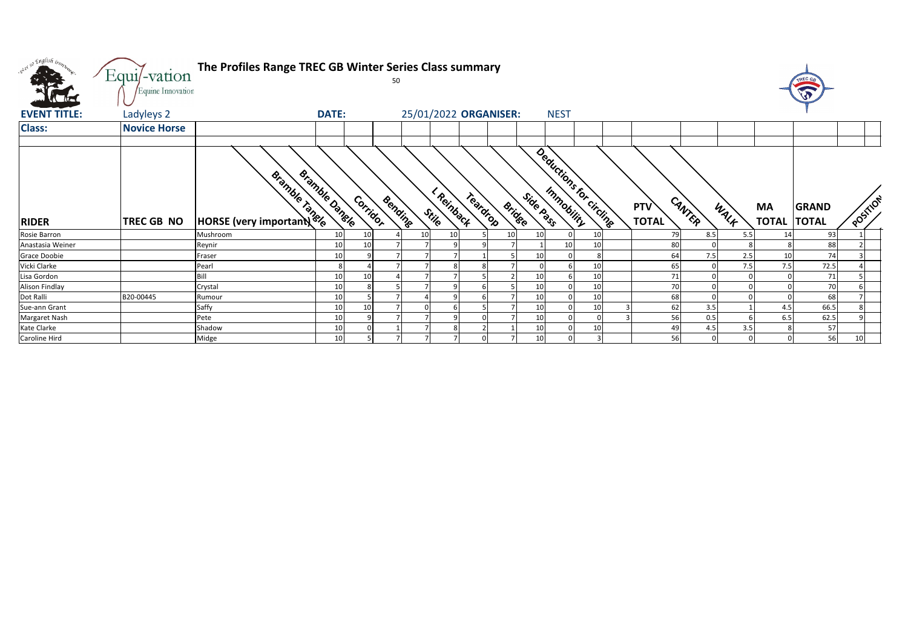| we so English bonz  | Equi/-vation        | The Profiles Range TREC GB Winter Series Class summary |                       | 50       |                                            |          |               |           |                         |          |                            |        |      |                          | TREC GE                |          |
|---------------------|---------------------|--------------------------------------------------------|-----------------------|----------|--------------------------------------------|----------|---------------|-----------|-------------------------|----------|----------------------------|--------|------|--------------------------|------------------------|----------|
|                     | Equine Innovation   |                                                        |                       |          |                                            |          |               |           |                         |          |                            |        |      |                          | $\widehat{\mathbf{v}}$ |          |
| <b>EVENT TITLE:</b> | Ladyleys 2          |                                                        | <b>DATE:</b>          |          | 25/01/2022 ORGANISER:                      |          |               |           | <b>NEST</b>             |          |                            |        |      |                          |                        |          |
| <b>Class:</b>       | <b>Novice Horse</b> |                                                        |                       |          |                                            |          |               |           |                         |          |                            |        |      |                          |                        |          |
|                     |                     |                                                        |                       |          |                                            |          |               |           |                         |          |                            |        |      |                          |                        |          |
| <b>RIDER</b>        | TREC GB NO          | <b>Bismultiple Simples</b>                             | <b>Bramble Dangle</b> | Corridor | I Reinback<br>Bending<br>Stij <sub>e</sub> | Teardrop | <b>Bridge</b> | Side Pass | Deductions for circline |          | <b>PTV</b><br><b>TOTAL</b> | CANTER | WALK | MA<br><b>TOTAL TOTAL</b> | <b>GRAND</b>           | POSITION |
| Rosie Barron        |                     | Mushroom                                               | 10                    | 10       | 10<br>10                                   |          |               |           |                         |          |                            |        |      | 14                       | 93                     |          |
| Anastasia Weiner    |                     |                                                        |                       |          |                                            |          | 10            |           |                         | 10       | 79                         | 8.5    | 5.5  |                          |                        |          |
|                     |                     | Reynir                                                 | 10                    | 10       |                                            |          |               |           | 10                      | 10       | 80                         |        |      |                          | 88                     |          |
| Grace Doobie        |                     | Fraser                                                 | 10                    | 9        |                                            |          |               |           |                         | 8        | 64                         | 7.5    | 2.5  | 10                       | 74                     |          |
| Vicki Clarke        |                     | Pearl                                                  |                       |          |                                            |          |               |           |                         | 10       | 65                         |        | 7.5  | 7.5                      | 72.5                   |          |
| Lisa Gordon         |                     | Bill                                                   | 10                    | 10       |                                            |          |               |           |                         | 10       | 71                         |        |      |                          | 71                     |          |
| Alison Findlay      |                     | Crystal                                                | 10                    | 8        |                                            |          |               |           |                         | 10       | 70                         |        |      |                          | 70                     |          |
| Dot Ralli           | B20-00445           | Rumour                                                 | 10                    |          |                                            |          |               |           |                         | 10       | 68                         |        |      |                          | 68                     |          |
| Sue-ann Grant       |                     | Saffy                                                  | 10                    | 10       |                                            |          |               | 10        |                         | 10       | 62                         | 3.5    |      | 4.5                      | 66.5                   |          |
| Margaret Nash       |                     | Pete                                                   | 10                    | q        |                                            |          |               |           |                         | $\Omega$ | 56                         | 0.5    |      | 6.5                      | 62.5                   |          |
| Kate Clarke         |                     | Shadow                                                 | 10                    |          |                                            |          |               |           |                         | 10       | 49                         | 4.5    | 3.5  |                          | 57                     |          |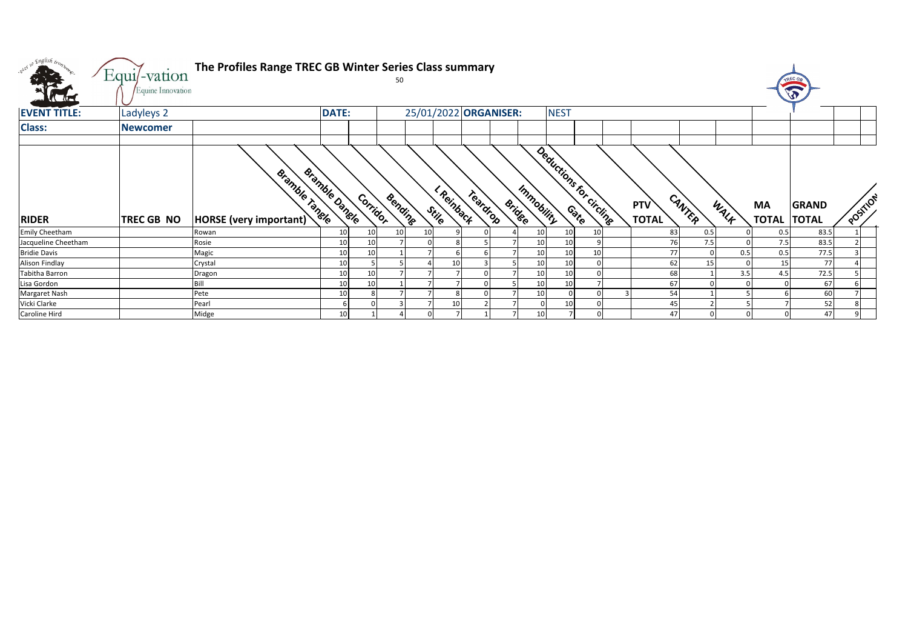| what so English trong<br><b>SEA</b> | Equi/-vation      | The Profiles Range TREC GB Winter Series Class summary |                 |          |         |    |                     |                       |                      |             |                          |                            |        |      |                          | TREC G       |          |
|-------------------------------------|-------------------|--------------------------------------------------------|-----------------|----------|---------|----|---------------------|-----------------------|----------------------|-------------|--------------------------|----------------------------|--------|------|--------------------------|--------------|----------|
| <b>Catal</b>                        | Equine Innovation |                                                        |                 |          |         |    |                     |                       |                      |             |                          |                            |        |      |                          | V            |          |
| <b>EVENT TITLE:</b>                 | Ladyleys 2        |                                                        | <b>DATE:</b>    |          |         |    |                     | 25/01/2022 ORGANISER: |                      | <b>NEST</b> |                          |                            |        |      |                          |              |          |
| <b>Class:</b>                       | <b>Newcomer</b>   |                                                        |                 |          |         |    |                     |                       |                      |             |                          |                            |        |      |                          |              |          |
|                                     |                   |                                                        |                 |          |         |    |                     |                       |                      |             |                          |                            |        |      |                          |              |          |
| <b>RIDER</b>                        | TREC GB NO        | <b>Bramble Tangle</b><br>HORSE (very important)        | Bramble Dangle  | Corridor | Bending |    | I Reinback<br>Stile | Teardrop              | Immobility<br>Bridge |             | Dealuctions for circling | <b>PTV</b><br><b>TOTAL</b> | CANTER | WALK | MA<br><b>TOTAL TOTAL</b> | <b>GRAND</b> | POSITION |
| Emily Cheetham                      |                   | Rowan                                                  | 10              | 10       | 10      | 10 |                     |                       | 10                   | 10          | 10                       | 83                         | 0.5    |      | 0.5                      | 83.5         |          |
| Jacqueline Cheetham                 |                   | Rosie                                                  | 10              | 10       |         |    |                     |                       | 10                   | 10          | q                        | 76                         | 7.5    |      | 7.5                      | 83.5         |          |
| <b>Bridie Davis</b>                 |                   | Magic                                                  | 10              | 10       |         |    |                     |                       | 10                   | 10          | 10 <sup>1</sup>          | 77                         |        | 0.5  | 0.5                      | 77.5         |          |
| Alison Findlay                      |                   | Crystal                                                | 10              |          |         |    | 10                  |                       | 10                   | 10          |                          | 62                         | 15     |      | 15                       | 77           |          |
| Tabitha Barron                      |                   | Dragon                                                 | 10              | 10       |         |    |                     |                       | 10                   |             |                          | 68                         |        | 3.5  | 4.5                      | 72.5         |          |
| Lisa Gordon                         |                   | Rill                                                   | 10              | 10       |         |    |                     |                       | 10                   |             |                          | 67                         |        |      |                          | 67           |          |
| Margaret Nash                       |                   | Pete                                                   | 10              |          |         |    |                     |                       | 10                   |             |                          | 54                         |        |      |                          | 60           |          |
| Vicki Clarke                        |                   | Pearl                                                  |                 |          |         |    | 10                  |                       |                      | 10          |                          | 45                         |        |      |                          | 52           |          |
| Caroline Hird                       |                   | Midge                                                  | 10 <sup>1</sup> |          |         |    |                     |                       | 10                   |             | $\Omega$                 | 47                         |        |      |                          | 47           |          |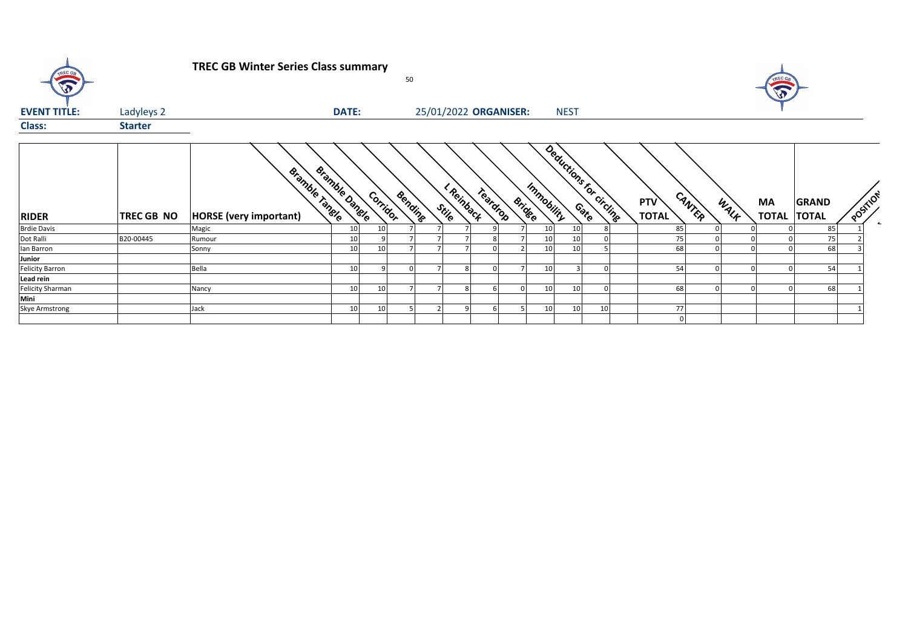| TREC GB                 |                   | <b>TREC GB Winter Series Class summary</b>             |                 |          | 50             |                       |          |                             |                         |    |                     |        |      | TREC GE<br>$\widehat{\mathbf{v}}$ |              |          |
|-------------------------|-------------------|--------------------------------------------------------|-----------------|----------|----------------|-----------------------|----------|-----------------------------|-------------------------|----|---------------------|--------|------|-----------------------------------|--------------|----------|
| <b>EVENT TITLE:</b>     | Ladyleys 2        |                                                        | <b>DATE:</b>    |          |                | 25/01/2022 ORGANISER: |          |                             | <b>NEST</b>             |    |                     |        |      |                                   |              |          |
| <b>Class:</b>           | <b>Starter</b>    |                                                        |                 |          |                |                       |          |                             |                         |    |                     |        |      |                                   |              |          |
| <b>RIDER</b>            | <b>TREC GB NO</b> | <b>Bramble Tangle</b><br><b>HORSE</b> (very important) | Bramble Dangle  | Corridor | <b>Bending</b> | I Reinback<br>Stile   | Teardrop | Immobility<br><b>Bridge</b> | Deductions for circling |    | PTV<br><b>TOTAL</b> | CANTER | WALK | MA<br><b>TOTAL TOTAL</b>          | <b>GRAND</b> | POSTILON |
| <b>Brdie Davis</b>      |                   | Magic                                                  | 10 <sup>1</sup> | 10       |                |                       |          | 10 <sup>1</sup>             | 10                      |    | 85                  |        |      |                                   | 85           |          |
| Dot Ralli               | B20-00445         | Rumour                                                 | 10              |          |                |                       |          | 10 <sup>1</sup>             |                         |    | 75                  |        |      |                                   | 75           |          |
| Ian Barron              |                   | Sonny                                                  | 10              | 10       |                |                       |          | 10 <sup>1</sup>             | 10                      |    | 68                  |        |      |                                   | 68           |          |
| Junior                  |                   |                                                        |                 |          |                |                       |          |                             |                         |    |                     |        |      |                                   |              |          |
| <b>Felicity Barron</b>  |                   | Bella                                                  | 10              | q        |                |                       |          | 10 <sup>1</sup>             |                         |    | 54                  |        |      |                                   | 54           |          |
| Lead rein               |                   |                                                        |                 |          |                |                       |          |                             |                         |    |                     |        |      |                                   |              |          |
| <b>Felicity Sharman</b> |                   | Nancy                                                  | 10 <sup>1</sup> | 10       |                |                       |          | 10                          | 10                      |    | 68                  |        |      |                                   | 68           |          |
| Mini                    |                   |                                                        |                 |          |                |                       |          |                             |                         |    |                     |        |      |                                   |              |          |
| Skye Armstrong          |                   | Jack                                                   | 10 <sup>1</sup> | 10       |                |                       |          | 10 <sup>1</sup>             | 10                      | 10 | 77                  |        |      |                                   |              |          |